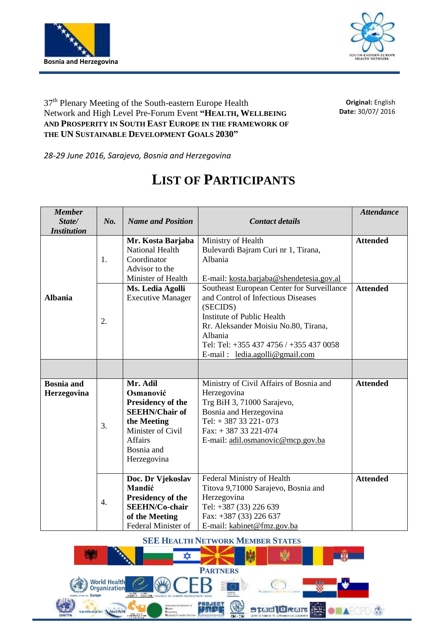



## 37<sup>th</sup> Plenary Meeting of the South-eastern Europe Health Network and High Level Pre-Forum Event **"HEALTH, WELLBEING AND PROSPERITY IN SOUTH EAST EUROPE IN THE FRAMEWORK OF THE UN SUSTAINABLE DEVELOPMENT GOALS 2030"**

**Original:** English **Date:** 30/07/ 2016

*28-29 June 2016, Sarajevo, Bosnia and Herzegovina*

## **LIST OF PARTICIPANTS**

| <b>Member</b>      |                  |                          |                                            | <b>Attendance</b> |
|--------------------|------------------|--------------------------|--------------------------------------------|-------------------|
| State/             | No.              | <b>Name and Position</b> | <b>Contact details</b>                     |                   |
| <b>Institution</b> |                  |                          |                                            |                   |
|                    |                  | Mr. Kosta Barjaba        | Ministry of Health                         | <b>Attended</b>   |
|                    |                  | <b>National Health</b>   | Bulevardi Bajram Curi nr 1, Tirana,        |                   |
|                    | 1.               | Coordinator              | Albania                                    |                   |
|                    |                  | Advisor to the           |                                            |                   |
|                    |                  | Minister of Health       | E-mail: kosta.barjaba@shendetesia.gov.al   |                   |
|                    |                  | Ms. Ledia Agolli         | Southeast European Center for Surveillance | <b>Attended</b>   |
| <b>Albania</b>     |                  | <b>Executive Manager</b> | and Control of Infectious Diseases         |                   |
|                    |                  |                          | (SECIDS)                                   |                   |
|                    | 2.               |                          | Institute of Public Health                 |                   |
|                    |                  |                          | Rr. Aleksander Moisiu No.80, Tirana,       |                   |
|                    |                  |                          | Albania                                    |                   |
|                    |                  |                          | Tel: Tel: +355 437 4756 / +355 437 0058    |                   |
|                    |                  |                          | E-mail: $led aagolli@gmail.com$            |                   |
|                    |                  |                          |                                            |                   |
|                    |                  |                          |                                            |                   |
| <b>Bosnia</b> and  |                  | Mr. Adil                 | Ministry of Civil Affairs of Bosnia and    | <b>Attended</b>   |
| Herzegovina        |                  | Osmanović                | Herzegovina                                |                   |
|                    |                  | Presidency of the        | Trg BiH 3, 71000 Sarajevo,                 |                   |
|                    |                  | <b>SEEHN/Chair of</b>    | Bosnia and Herzegovina                     |                   |
|                    | 3.               | the Meeting              | Tel: +38733221-073                         |                   |
|                    |                  | Minister of Civil        | Fax: $+38733221-074$                       |                   |
|                    |                  | Affairs                  | E-mail: adil.osmanovic@mcp.gov.ba          |                   |
|                    |                  | Bosnia and               |                                            |                   |
|                    |                  | Herzegovina              |                                            |                   |
|                    |                  |                          |                                            |                   |
|                    |                  | Doc. Dr Vjekoslav        | Federal Ministry of Health                 | <b>Attended</b>   |
|                    |                  | Mandić                   | Titova 9,71000 Sarajevo, Bosnia and        |                   |
|                    | $\overline{4}$ . | Presidency of the        | Herzegovina                                |                   |
|                    |                  | <b>SEEHN/Co-chair</b>    | Tel: +387 (33) 226 639                     |                   |
|                    |                  | of the Meeting           | Fax: +387 (33) 226 637                     |                   |
|                    |                  | Federal Minister of      | E-mail: kabinet@fmz.gov.ba                 |                   |

**SEE HEALTH NETWORK MEMBER STATES**

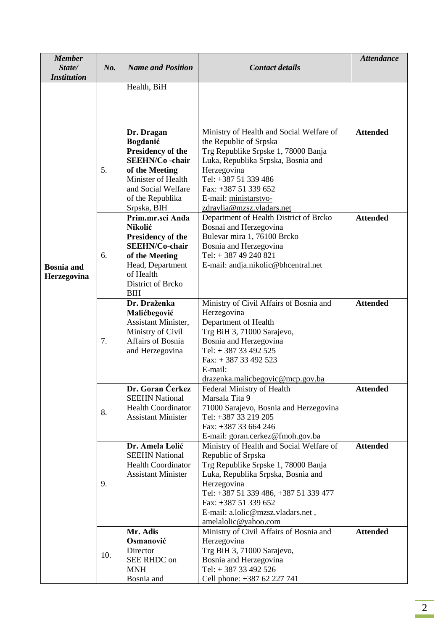| <b>Member</b><br>State/<br><b>Institution</b> | No. | <b>Name and Position</b>                                                                                                                                        | <b>Contact details</b>                                                                                                                                                                                                                                                                   | <b>Attendance</b> |
|-----------------------------------------------|-----|-----------------------------------------------------------------------------------------------------------------------------------------------------------------|------------------------------------------------------------------------------------------------------------------------------------------------------------------------------------------------------------------------------------------------------------------------------------------|-------------------|
|                                               |     | Health, BiH                                                                                                                                                     |                                                                                                                                                                                                                                                                                          |                   |
|                                               | 5.  | Dr. Dragan<br>Bogdanić<br>Presidency of the<br><b>SEEHN/Co-chair</b><br>of the Meeting                                                                          | Ministry of Health and Social Welfare of<br>the Republic of Srpska<br>Trg Republike Srpske 1, 78000 Banja<br>Luka, Republika Srpska, Bosnia and<br>Herzegovina                                                                                                                           | <b>Attended</b>   |
| <b>Bosnia</b> and<br>Herzegovina              |     | Minister of Health<br>and Social Welfare<br>of the Republika<br>Srpska, BIH                                                                                     | Tel: +387 51 339 486<br>Fax: +387 51 339 652<br>E-mail: ministarstvo-<br>zdravlja@mzsz.vladars.net                                                                                                                                                                                       |                   |
|                                               | 6.  | Prim.mr.sci Anda<br>Nikolić<br>Presidency of the<br><b>SEEHN/Co-chair</b><br>of the Meeting<br>Head, Department<br>of Health<br>District of Brcko<br><b>BIH</b> | Department of Health District of Brcko<br>Bosnai and Herzegovina<br>Bulevar mira 1, 76100 Brcko<br>Bosnia and Herzegovina<br>Tel: $+38749240821$<br>E-mail: andja.nikolic@bhcentral.net                                                                                                  | <b>Attended</b>   |
|                                               | 7.  | Dr. Draženka<br>Malićbegović<br>Assistant Minister,<br>Ministry of Civil<br>Affairs of Bosnia<br>and Herzegovina                                                | Ministry of Civil Affairs of Bosnia and<br>Herzegovina<br>Department of Health<br>Trg BiH 3, 71000 Sarajevo,<br>Bosnia and Herzegovina<br>Tel: $+38733492525$<br>Fax: $+38733492523$<br>E-mail:<br>drazenka.malicbegovic@mcp.gov.ba                                                      | <b>Attended</b>   |
|                                               | 8.  | <b>Dr. Goran Cerkez</b><br><b>SEEHN National</b><br><b>Health Coordinator</b><br><b>Assistant Minister</b>                                                      | Federal Ministry of Health<br>Marsala Tita 9<br>71000 Sarajevo, Bosnia and Herzegovina<br>Tel: +387 33 219 205<br>Fax: +387 33 664 246<br>E-mail: goran.cerkez@fmoh.gov.ba                                                                                                               | <b>Attended</b>   |
|                                               | 9.  | Dr. Amela Lolić<br><b>SEEHN National</b><br><b>Health Coordinator</b><br><b>Assistant Minister</b>                                                              | Ministry of Health and Social Welfare of<br>Republic of Srpska<br>Trg Republike Srpske 1, 78000 Banja<br>Luka, Republika Srpska, Bosnia and<br>Herzegovina<br>Tel: +387 51 339 486, +387 51 339 477<br>Fax: +387 51 339 652<br>E-mail: a.lolic@mzsz.vladars.net,<br>amelalolic@yahoo.com | <b>Attended</b>   |
|                                               | 10. | Mr. Adis<br>Osmanović<br>Director<br>SEE RHDC on<br><b>MNH</b><br>Bosnia and                                                                                    | Ministry of Civil Affairs of Bosnia and<br>Herzegovina<br>Trg BiH 3, 71000 Sarajevo,<br>Bosnia and Herzegovina<br>Tel: +387 33 492 526<br>Cell phone: +387 62 227 741                                                                                                                    | <b>Attended</b>   |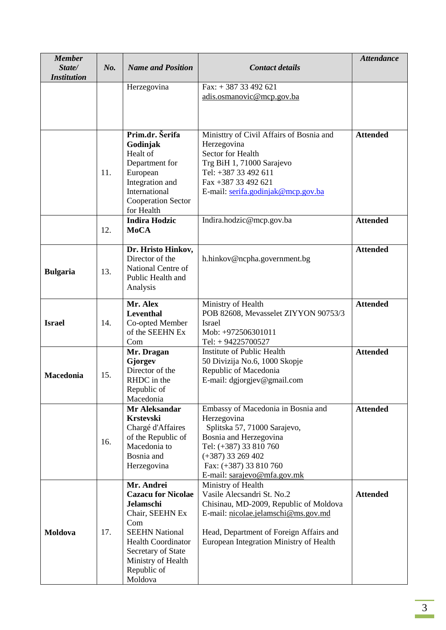| <b>Member</b><br>State/<br><b>Institution</b> | No. | <b>Name and Position</b>                                                                                                                                                                                          | <b>Contact details</b>                                                                                                                                                                                                  | <b>Attendance</b> |
|-----------------------------------------------|-----|-------------------------------------------------------------------------------------------------------------------------------------------------------------------------------------------------------------------|-------------------------------------------------------------------------------------------------------------------------------------------------------------------------------------------------------------------------|-------------------|
|                                               |     | Herzegovina                                                                                                                                                                                                       | Fax: $+38733492621$<br>adis.osmanovic@mcp.gov.ba                                                                                                                                                                        |                   |
|                                               | 11. | Prim.dr. Šerifa<br>Godinjak<br>Healt of<br>Department for<br>European<br>Integration and<br>International<br><b>Cooperation Sector</b><br>for Health                                                              | Ministtry of Civil Affairs of Bosnia and<br>Herzegovina<br>Sector for Health<br>Trg BiH 1, 71000 Sarajevo<br>Tel: +387 33 492 611<br>Fax +387 33 492 621<br>E-mail: serifa.godinjak@mcp.gov.ba                          | <b>Attended</b>   |
|                                               | 12. | <b>Indira Hodzic</b><br><b>MoCA</b>                                                                                                                                                                               | Indira.hodzic@mcp.gov.ba                                                                                                                                                                                                | <b>Attended</b>   |
| <b>Bulgaria</b>                               | 13. | Dr. Hristo Hinkov,<br>Director of the<br>National Centre of<br>Public Health and<br>Analysis                                                                                                                      | h.hinkov@ncpha.government.bg                                                                                                                                                                                            | <b>Attended</b>   |
| <b>Israel</b>                                 | 14. | Mr. Alex<br>Leventhal<br>Co-opted Member<br>of the SEEHN Ex<br>Com                                                                                                                                                | Ministry of Health<br>POB 82608, Mevasselet ZIYYON 90753/3<br><b>Israel</b><br>Mob: +972506301011<br>Tel: $+94225700527$                                                                                                | <b>Attended</b>   |
| <b>Macedonia</b>                              | 15. | Mr. Dragan<br>Gjorgev<br>Director of the<br>RHDC in the<br>Republic of<br>Macedonia                                                                                                                               | Institute of Public Health<br>50 Divizija No.6, 1000 Skopje<br>Republic of Macedonia<br>E-mail: dgjorgjev@gmail.com                                                                                                     | <b>Attended</b>   |
|                                               | 16. | Mr Aleksandar<br><b>Krstevski</b><br>Chargé d'Affaires<br>of the Republic of<br>Macedonia to<br>Bosnia and<br>Herzegovina                                                                                         | Embassy of Macedonia in Bosnia and<br>Herzegovina<br>Splitska 57, 71000 Sarajevo,<br>Bosnia and Herzegovina<br>Tel: (+387) 33 810 760<br>$(+387)$ 33 269 402<br>Fax: (+387) 33 810 760<br>E-mail: sarajevo@mfa.gov.mk   | <b>Attended</b>   |
| <b>Moldova</b>                                | 17. | Mr. Andrei<br><b>Cazacu for Nicolae</b><br><b>Jelamschi</b><br>Chair, SEEHN Ex<br>Com<br><b>SEEHN National</b><br><b>Health Coordinator</b><br>Secretary of State<br>Ministry of Health<br>Republic of<br>Moldova | Ministry of Health<br>Vasile Alecsandri St. No.2<br>Chisinau, MD-2009, Republic of Moldova<br>E-mail: nicolae.jelamschi@ms.gov.md<br>Head, Department of Foreign Affairs and<br>European Integration Ministry of Health | <b>Attended</b>   |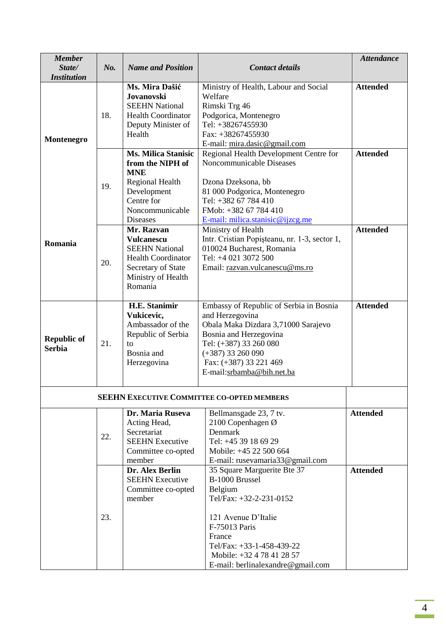| <b>Member</b><br>State/<br><b>Institution</b> | No. | <b>Name and Position</b>                                                                                                                                  | <b>Contact details</b>                                                                                                                                                                                                               | <b>Attendance</b> |
|-----------------------------------------------|-----|-----------------------------------------------------------------------------------------------------------------------------------------------------------|--------------------------------------------------------------------------------------------------------------------------------------------------------------------------------------------------------------------------------------|-------------------|
| Montenegro                                    | 18. | Ms. Mira Dašić<br><b>Jovanovski</b><br><b>SEEHN National</b><br><b>Health Coordinator</b><br>Deputy Minister of<br>Health                                 | Ministry of Health, Labour and Social<br>Welfare<br>Rimski Trg 46<br>Podgorica, Montenegro<br>Tel: +38267455930<br>Fax: +38267455930<br>E-mail: mira.dasic@gmail.com                                                                 | <b>Attended</b>   |
|                                               | 19. | <b>Ms. Milica Stanisic</b><br>from the NIPH of<br><b>MNE</b><br><b>Regional Health</b><br>Development<br>Centre for<br>Noncommunicable<br><b>Diseases</b> | Regional Health Development Centre for<br>Noncommunicable Diseases<br>Dzona Dzeksona, bb<br>81 000 Podgorica, Montenegro<br>Tel: +382 67 784 410<br>FMob: +382 67 784 410<br>E-mail: milica.stanisic@ijzcg.me                        | <b>Attended</b>   |
| Romania                                       | 20. | Mr. Razvan<br><b>Vulcanescu</b><br><b>SEEHN National</b><br><b>Health Coordinator</b><br>Secretary of State<br>Ministry of Health<br>Romania              | Ministry of Health<br>Intr. Cristian Popișteanu, nr. 1-3, sector 1,<br>010024 Bucharest, Romania<br>Tel: +4 021 3072 500<br>Email: razvan.vulcanescu@ms.ro                                                                           | <b>Attended</b>   |
| <b>Republic of</b><br><b>Serbia</b>           | 21. | <b>H.E. Stanimir</b><br>Vukicevic,<br>Ambassador of the<br>Republic of Serbia<br>to<br>Bosnia and<br>Herzegovina                                          | Embassy of Republic of Serbia in Bosnia<br>and Herzegovina<br>Obala Maka Dizdara 3,71000 Sarajevo<br>Bosnia and Herzegovina<br>Tel: (+387) 33 260 080<br>$(+387)$ 33 260 090<br>Fax: (+387) 33 221 469<br>E-mail:srbamba@bih.net.ba  | <b>Attended</b>   |
|                                               |     |                                                                                                                                                           | <b>SEEHN EXECUTIVE COMMITTEE CO-OPTED MEMBERS</b>                                                                                                                                                                                    |                   |
|                                               | 22. | Dr. Maria Ruseva<br>Acting Head,<br>Secretariat<br><b>SEEHN Executive</b><br>Committee co-opted<br>member                                                 | Bellmansgade 23, 7 tv.<br>2100 Copenhagen Ø<br>Denmark<br>Tel: +45 39 18 69 29<br>Mobile: +45 22 500 664<br>E-mail: rusevamaria33@gmail.com                                                                                          | <b>Attended</b>   |
|                                               | 23. | Dr. Alex Berlin<br><b>SEEHN Executive</b><br>Committee co-opted<br>member                                                                                 | 35 Square Marguerite Bte 37<br>B-1000 Brussel<br>Belgium<br>Tel/Fax: +32-2-231-0152<br>121 Avenue D'Italie<br>F-75013 Paris<br>France<br>Tel/Fax: +33-1-458-439-22<br>Mobile: +32 4 78 41 28 57<br>E-mail: berlinalexandre@gmail.com | <b>Attended</b>   |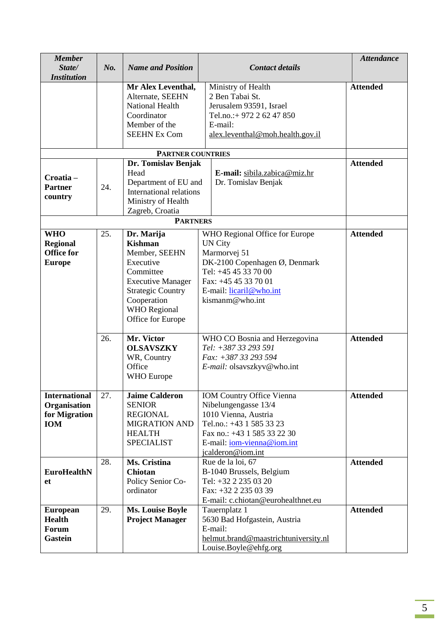| <b>Member</b><br>State/<br><b>Institution</b>                       | No. | <b>Name and Position</b>                                                                                                                                                                   | <b>Contact details</b>                                                                                                                                                                                | <b>Attendance</b> |
|---------------------------------------------------------------------|-----|--------------------------------------------------------------------------------------------------------------------------------------------------------------------------------------------|-------------------------------------------------------------------------------------------------------------------------------------------------------------------------------------------------------|-------------------|
|                                                                     |     | Mr Alex Leventhal,<br>Alternate, SEEHN<br><b>National Health</b><br>Coordinator<br>Member of the<br><b>SEEHN Ex Com</b>                                                                    | Ministry of Health<br>2 Ben Tabai St.<br>Jerusalem 93591, Israel<br>Tel.no.:+ 972 2 62 47 850<br>E-mail:<br>alex.leventhal@moh.health.gov.il                                                          | <b>Attended</b>   |
|                                                                     |     | <b>PARTNER COUNTRIES</b>                                                                                                                                                                   |                                                                                                                                                                                                       |                   |
| Croatia-<br><b>Partner</b><br>country                               | 24. | Dr. Tomislav Benjak<br>Head<br>Department of EU and<br>International relations<br>Ministry of Health<br>Zagreb, Croatia                                                                    | E-mail: sibila.zabica@miz.hr<br>Dr. Tomislav Benjak                                                                                                                                                   | <b>Attended</b>   |
|                                                                     |     | <b>PARTNERS</b>                                                                                                                                                                            |                                                                                                                                                                                                       |                   |
| <b>WHO</b><br><b>Regional</b><br><b>Office for</b><br><b>Europe</b> | 25. | Dr. Marija<br><b>Kishman</b><br>Member, SEEHN<br>Executive<br>Committee<br><b>Executive Manager</b><br><b>Strategic Country</b><br>Cooperation<br><b>WHO</b> Regional<br>Office for Europe | WHO Regional Office for Europe<br><b>UN City</b><br>Marmorvej 51<br>DK-2100 Copenhagen Ø, Denmark<br>Tel: +45 45 33 70 00<br>Fax: +45 45 33 70 01<br>E-mail: licaril@who.int<br>kismanm@who.int       | <b>Attended</b>   |
|                                                                     | 26. | Mr. Victor<br><b>OLSAVSZKY</b><br>WR, Country<br>Office<br><b>WHO</b> Europe                                                                                                               | WHO CO Bosnia and Herzegovina<br>Tel: +387 33 293 591<br>Fax: +387 33 293 594<br>E-mail: olsavszkyv@who.int                                                                                           | <b>Attended</b>   |
| <b>International</b><br>Organisation<br>for Migration<br><b>IOM</b> | 27. | <b>Jaime Calderon</b><br><b>SENIOR</b><br><b>REGIONAL</b><br><b>MIGRATION AND</b><br><b>HEALTH</b><br><b>SPECIALIST</b>                                                                    | <b>IOM Country Office Vienna</b><br>Nibelungengasse 13/4<br>1010 Vienna, Austria<br>Tel.no.: +43 1 585 33 23<br>Fax no.: +43 1 585 33 22 30<br>E-mail: <i>iom-vienna@iom.int</i><br>jcalderon@iom.int | <b>Attended</b>   |
| <b>EuroHealthN</b><br>et                                            | 28. | Ms. Cristina<br><b>Chiotan</b><br>Policy Senior Co-<br>ordinator                                                                                                                           | Rue de la loi, 67<br>B-1040 Brussels, Belgium<br>Tel: +32 2 235 03 20<br>Fax: +32 2 235 03 39<br>E-mail: c.chiotan@eurohealthnet.eu                                                                   | <b>Attended</b>   |
| <b>European</b><br><b>Health</b><br>Forum<br><b>Gastein</b>         | 29. | <b>Ms. Louise Boyle</b><br><b>Project Manager</b>                                                                                                                                          | Tauernplatz 1<br>5630 Bad Hofgastein, Austria<br>E-mail:<br>helmut.brand@maastrichtuniversity.nl<br>Louise.Boyle@ehfg.org                                                                             | <b>Attended</b>   |